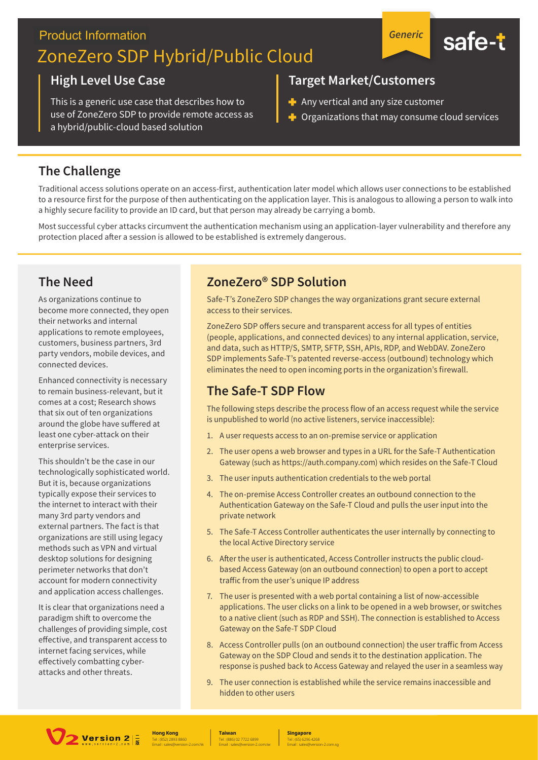# **Product Information** ZoneZero SDP Hybrid/Public Cloud



#### **High Level Use Case**

This is a generic use case that describes how to use of ZoneZero SDP to provide remote access as a hybrid/public-cloud based solution

#### **Target Market/Customers**

- Any vertical and any size customer
- $\blacksquare$  Organizations that may consume cloud services

## **The Challenge**

Traditional access solutions operate on an access-first, authentication later model which allows user connections to be established to a resource first for the purpose of then authenticating on the application layer. This is analogous to allowing a person to walk into a highly secure facility to provide an ID card, but that person may already be carrying a bomb.

Most successful cyber attacks circumvent the authentication mechanism using an application-layer vulnerability and therefore any protection placed after a session is allowed to be established is extremely dangerous.

### **The Need**

As organizations continue to become more connected, they open their networks and internal applications to remote employees. customers, business partners, 3rd party vendors, mobile devices, and connected devices.

Enhanced connectivity is necessary to remain business-relevant, but it comes at a cost; Research shows that six out of ten organizations around the globe have suffered at least one cyber-attack on their enterprise services.

This shouldn't be the case in our technologically sophisticated world. But it is, because organizations typically expose their services to the internet to interact with their many 3rd party vendors and external partners. The fact is that organizations are still using legacy methods such as VPN and virtual desktop solutions for designing perimeter networks that don't account for modern connectivity and application access challenges.

It is clear that organizations need a paradigm shift to overcome the challenges of providing simple, cost effective, and transparent access to internet facing services, while effectively combatting cyberattacks and other threats.

### ZoneZero<sup>®</sup> SDP Solution

Safe-T's ZoneZero SDP changes the way organizations grant secure external access to their services.

ZoneZero SDP offers secure and transparent access for all types of entities (people, applications, and connected devices) to any internal application, service, and data, such as HTTP/S, SMTP, SFTP, SSH, APIs, RDP, and WebDAV. ZoneZero SDP implements Safe-T's patented reverse-access (outbound) technology which eliminates the need to open incoming ports in the organization's firewall.

#### The Safe-T SDP Flow

The following steps describe the process flow of an access request while the service is unpublished to world (no active listeners, service inaccessible):

- 1. A user requests access to an on-premise service or application
- 2. The user opens a web browser and types in a URL for the Safe-T Authentication Gateway (such as https://auth.company.com) which resides on the Safe-T Cloud
- 3. The user inputs authentication credentials to the web portal
- 4. The on-premise Access Controller creates an outbound connection to the Authentication Gateway on the Safe-T Cloud and pulls the user input into the private network
- 5. The Safe-T Access Controller authenticates the user internally by connecting to the local Active Directory service
- 6. After the user is authenticated, Access Controller instructs the public cloudbased Access Gateway (on an outbound connection) to open a port to accept traffic from the user's unique IP address
- 7. The user is presented with a web portal containing a list of now-accessible applications. The user clicks on a link to be opened in a web browser, or switches to a native client (such as RDP and SSH). The connection is established to Access Gateway on the Safe-T SDP Cloud
- 8. Access Controller pulls (on an outbound connection) the user traffic from Access Gateway on the SDP Cloud and sends it to the destination application. The response is pushed back to Access Gateway and relayed the user in a seamless way
- 9. The user connection is established while the service remains inaccessible and hidden to other users



**Hong Kong** 

**Taiwan** 

**Singapore**